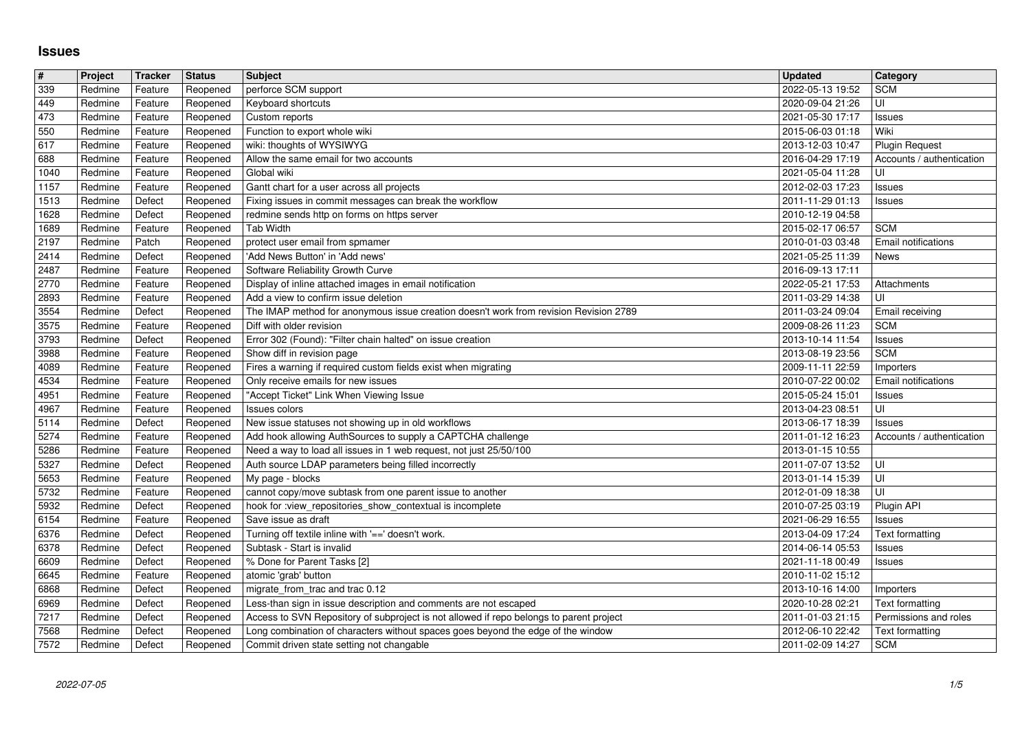## **Issues**

| $\pmb{\#}$   | Project            | Tracker            | <b>Status</b>        | <b>Subject</b>                                                                                                                                                                         | <b>Updated</b>                       | Category                                                  |
|--------------|--------------------|--------------------|----------------------|----------------------------------------------------------------------------------------------------------------------------------------------------------------------------------------|--------------------------------------|-----------------------------------------------------------|
| 339          | Redmine            | Feature            | Reopened             | perforce SCM support                                                                                                                                                                   | 2022-05-13 19:52                     | <b>SCM</b>                                                |
| 449<br>473   | Redmine<br>Redmine | Feature<br>Feature | Reopened<br>Reopened | Keyboard shortcuts<br>Custom reports                                                                                                                                                   | 2020-09-04 21:26<br>2021-05-30 17:17 | UI<br>Issues                                              |
| 550          | Redmine            | Feature            | Reopened             | Function to export whole wiki                                                                                                                                                          | 2015-06-03 01:18                     | Wiki                                                      |
| 617          | Redmine            | Feature            | Reopened             | wiki: thoughts of WYSIWYG                                                                                                                                                              | 2013-12-03 10:47                     | <b>Plugin Request</b>                                     |
| 688          | Redmine            | Feature            | Reopened             | Allow the same email for two accounts                                                                                                                                                  | 2016-04-29 17:19                     | Accounts / authentication                                 |
| 1040         | Redmine            | Feature            | Reopened             | Global wiki                                                                                                                                                                            | 2021-05-04 11:28                     | UI                                                        |
| 1157<br>1513 | Redmine<br>Redmine | Feature<br>Defect  | Reopened<br>Reopened | Gantt chart for a user across all projects<br>Fixing issues in commit messages can break the workflow                                                                                  | 2012-02-03 17:23<br>2011-11-29 01:13 | Issues<br>Issues                                          |
| 1628         | Redmine            | Defect             | Reopened             | redmine sends http on forms on https server                                                                                                                                            | 2010-12-19 04:58                     |                                                           |
| 1689         | Redmine            | Feature            | Reopened             | <b>Tab Width</b>                                                                                                                                                                       | 2015-02-17 06:57                     | <b>SCM</b>                                                |
| 2197         | Redmine            | Patch              | Reopened             | protect user email from spmamer                                                                                                                                                        | 2010-01-03 03:48                     | Email notifications                                       |
| 2414         | Redmine            | Defect             | Reopened             | 'Add News Button' in 'Add news'                                                                                                                                                        | 2021-05-25 11:39                     | News                                                      |
| 2487<br>2770 | Redmine<br>Redmine | Feature<br>Feature | Reopened<br>Reopened | Software Reliability Growth Curve<br>Display of inline attached images in email notification                                                                                           | 2016-09-13 17:11<br>2022-05-21 17:53 | Attachments                                               |
| 2893         | Redmine            | Feature            | Reopened             | Add a view to confirm issue deletion                                                                                                                                                   | 2011-03-29 14:38                     | UI                                                        |
| 3554         | Redmine            | Defect             | Reopened             | The IMAP method for anonymous issue creation doesn't work from revision Revision 2789                                                                                                  | 2011-03-24 09:04                     | Email receiving                                           |
| 3575         | Redmine            | Feature            | Reopened             | Diff with older revision                                                                                                                                                               | 2009-08-26 11:23                     | <b>SCM</b>                                                |
| 3793         | Redmine            | Defect             | Reopened             | Error 302 (Found): "Filter chain halted" on issue creation                                                                                                                             | 2013-10-14 11:54                     | Issues                                                    |
| 3988<br>4089 | Redmine<br>Redmine | Feature<br>Feature | Reopened<br>Reopened | Show diff in revision page<br>Fires a warning if required custom fields exist when migrating                                                                                           | 2013-08-19 23:56<br>2009-11-11 22:59 | <b>SCM</b><br>Importers                                   |
| 4534         | Redmine            | Feature            | Reopened             | Only receive emails for new issues                                                                                                                                                     | 2010-07-22 00:02                     | Email notifications                                       |
| 4951         | Redmine            | Feature            | Reopened             | "Accept Ticket" Link When Viewing Issue                                                                                                                                                | 2015-05-24 15:01                     | Issues                                                    |
| 4967         | Redmine            | Feature            | Reopened             | Issues colors                                                                                                                                                                          | 2013-04-23 08:51                     | UI                                                        |
| 5114         | Redmine            | Defect             | Reopened             | New issue statuses not showing up in old workflows                                                                                                                                     | 2013-06-17 18:39                     | Issues                                                    |
| 5274<br>5286 | Redmine<br>Redmine | Feature<br>Feature | Reopened<br>Reopened | Add hook allowing AuthSources to supply a CAPTCHA challenge<br>Need a way to load all issues in 1 web request, not just 25/50/100                                                      | 2011-01-12 16:23<br>2013-01-15 10:55 | Accounts / authentication                                 |
| 5327         | Redmine            | Defect             | Reopened             | Auth source LDAP parameters being filled incorrectly                                                                                                                                   | 2011-07-07 13:52                     | ΙUΙ                                                       |
| 5653         | Redmine            | Feature            | Reopened             | My page - blocks                                                                                                                                                                       | 2013-01-14 15:39                     | UI                                                        |
| 5732         | Redmine            | Feature            | Reopened             | cannot copy/move subtask from one parent issue to another                                                                                                                              | 2012-01-09 18:38                     | l UI                                                      |
| 5932         | Redmine            | Defect             | Reopened             | hook for :view_repositories_show_contextual is incomplete                                                                                                                              | 2010-07-25 03:19                     | Plugin API                                                |
| 6154         | Redmine            | Feature            | Reopened             | Save issue as draft                                                                                                                                                                    | 2021-06-29 16:55                     | Issues                                                    |
| 6376<br>6378 | Redmine<br>Redmine | Defect<br>Defect   | Reopened<br>Reopened | Turning off textile inline with '==' doesn't work.<br>Subtask - Start is invalid                                                                                                       | 2013-04-09 17:24<br>2014-06-14 05:53 | Text formatting<br>Issues                                 |
| 6609         | Redmine            | Defect             | Reopened             | % Done for Parent Tasks [2]                                                                                                                                                            | 2021-11-18 00:49                     | Issues                                                    |
| 6645         | Redmine            | Feature            | Reopened             | atomic 'grab' button                                                                                                                                                                   | 2010-11-02 15:12                     |                                                           |
| 6868         | Redmine            | Defect             | Reopened             | migrate_from_trac and trac 0.12                                                                                                                                                        | 2013-10-16 14:00                     | Importers                                                 |
| 6969         | Redmine            | Defect             | Reopened             | Less-than sign in issue description and comments are not escaped                                                                                                                       | 2020-10-28 02:21                     | Text formatting                                           |
| 7217<br>7568 | Redmine<br>Redmine | Defect<br>Defect   | Reopened             | Reopened   Access to SVN Repository of subproject is not allowed if repo belongs to parent project<br>Long combination of characters without spaces goes beyond the edge of the window | 2012-06-10 22:42                     | 2011-01-03 21:15 Permissions and roles<br>Text formatting |
| 7572         | Redmine            | Defect             | Reopened             | Commit driven state setting not changable                                                                                                                                              | 2011-02-09 14:27                     | <b>SCM</b>                                                |
|              |                    |                    |                      |                                                                                                                                                                                        |                                      |                                                           |
|              |                    |                    |                      |                                                                                                                                                                                        |                                      |                                                           |
|              |                    |                    |                      |                                                                                                                                                                                        |                                      |                                                           |
|              |                    |                    |                      |                                                                                                                                                                                        |                                      |                                                           |
|              |                    |                    |                      |                                                                                                                                                                                        |                                      |                                                           |
|              |                    |                    |                      |                                                                                                                                                                                        |                                      |                                                           |
|              |                    |                    |                      |                                                                                                                                                                                        |                                      |                                                           |
|              |                    |                    |                      |                                                                                                                                                                                        |                                      |                                                           |
|              |                    |                    |                      |                                                                                                                                                                                        |                                      |                                                           |
|              |                    |                    |                      |                                                                                                                                                                                        |                                      |                                                           |
|              |                    |                    |                      |                                                                                                                                                                                        |                                      |                                                           |
|              |                    |                    |                      |                                                                                                                                                                                        |                                      |                                                           |
|              |                    |                    |                      |                                                                                                                                                                                        |                                      |                                                           |
|              |                    |                    |                      |                                                                                                                                                                                        |                                      |                                                           |
|              |                    |                    |                      |                                                                                                                                                                                        |                                      |                                                           |
|              |                    |                    |                      |                                                                                                                                                                                        |                                      |                                                           |
|              |                    |                    |                      |                                                                                                                                                                                        |                                      |                                                           |
|              |                    |                    |                      |                                                                                                                                                                                        |                                      |                                                           |
|              |                    |                    |                      |                                                                                                                                                                                        |                                      |                                                           |
|              |                    |                    |                      |                                                                                                                                                                                        |                                      |                                                           |
|              |                    |                    |                      |                                                                                                                                                                                        |                                      |                                                           |
|              |                    |                    |                      |                                                                                                                                                                                        |                                      |                                                           |
|              |                    |                    |                      |                                                                                                                                                                                        |                                      |                                                           |
|              |                    |                    |                      |                                                                                                                                                                                        |                                      |                                                           |
|              |                    |                    |                      |                                                                                                                                                                                        |                                      |                                                           |
|              |                    |                    |                      |                                                                                                                                                                                        |                                      |                                                           |
|              |                    |                    |                      |                                                                                                                                                                                        |                                      |                                                           |
|              |                    |                    |                      |                                                                                                                                                                                        |                                      |                                                           |
|              |                    |                    |                      |                                                                                                                                                                                        |                                      |                                                           |
|              |                    |                    |                      |                                                                                                                                                                                        |                                      |                                                           |
|              |                    |                    |                      |                                                                                                                                                                                        |                                      |                                                           |
|              |                    |                    |                      |                                                                                                                                                                                        |                                      |                                                           |
|              |                    |                    |                      |                                                                                                                                                                                        |                                      |                                                           |
|              |                    |                    |                      |                                                                                                                                                                                        |                                      |                                                           |
|              |                    |                    |                      |                                                                                                                                                                                        |                                      |                                                           |
|              |                    |                    |                      |                                                                                                                                                                                        |                                      |                                                           |
|              |                    |                    |                      |                                                                                                                                                                                        |                                      |                                                           |
|              |                    |                    |                      |                                                                                                                                                                                        |                                      |                                                           |
|              |                    |                    |                      |                                                                                                                                                                                        |                                      |                                                           |
|              |                    |                    |                      |                                                                                                                                                                                        |                                      |                                                           |
|              |                    |                    |                      |                                                                                                                                                                                        |                                      |                                                           |
|              |                    |                    |                      |                                                                                                                                                                                        |                                      |                                                           |
|              |                    |                    |                      |                                                                                                                                                                                        |                                      |                                                           |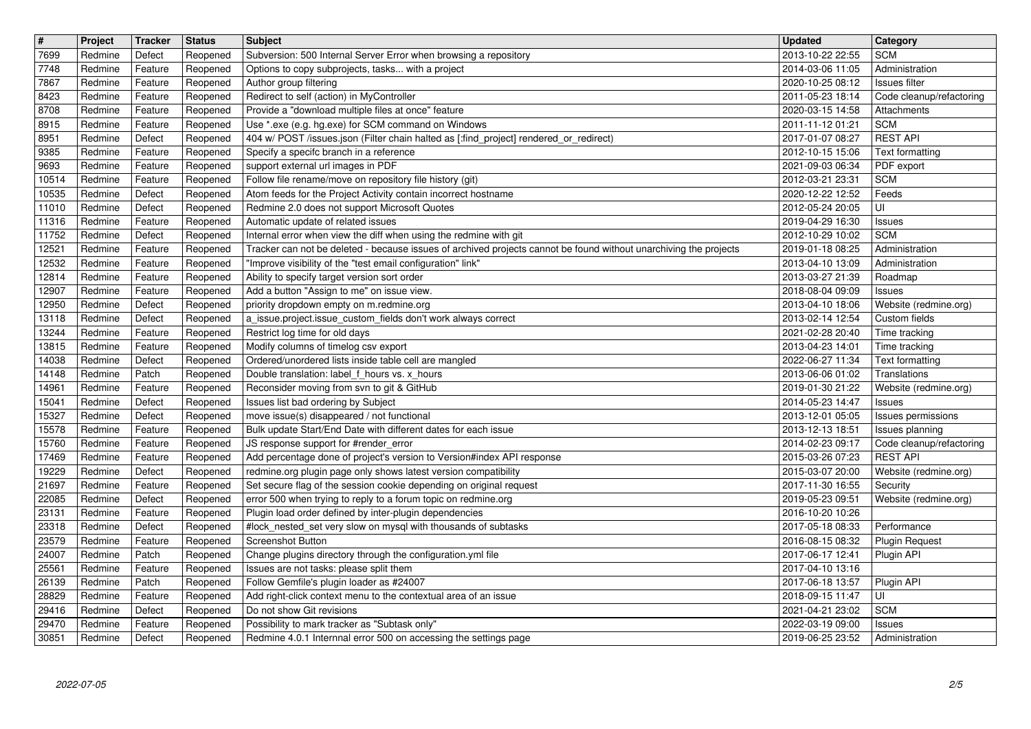| $\boxed{\texttt{#}}$ | Project            | Tracker            | <b>Status</b>        | <b>Subject</b>                                                                                                                                                                         | <b>Updated</b>                       | <b>Category</b>                             |
|----------------------|--------------------|--------------------|----------------------|----------------------------------------------------------------------------------------------------------------------------------------------------------------------------------------|--------------------------------------|---------------------------------------------|
| 7699                 | Redmine            | Defect             | Reopened             | Subversion: 500 Internal Server Error when browsing a repository                                                                                                                       | 2013-10-22 22:55                     | <b>SCM</b>                                  |
| 7748<br>7867         | Redmine<br>Redmine | Feature<br>Feature | Reopened             | Options to copy subprojects, tasks with a project<br>Author group filtering                                                                                                            | 2014-03-06 11:05<br>2020-10-25 08:12 | Administration<br>Issues filter             |
| 8423                 | Redmine            | Feature            | Reopened<br>Reopened | Redirect to self (action) in MyController                                                                                                                                              | 2011-05-23 18:14                     | Code cleanup/refactoring                    |
| 8708                 | Redmine            | Feature            | Reopened             | Provide a "download multiple files at once" feature                                                                                                                                    | 2020-03-15 14:58                     | Attachments                                 |
| 8915                 | Redmine            | Feature            | Reopened             | Use *.exe (e.g. hg.exe) for SCM command on Windows                                                                                                                                     | 2011-11-12 01:21                     | <b>SCM</b>                                  |
| 8951                 | Redmine            | Defect             | Reopened             | 404 w/ POST /issues.json (Filter chain halted as [:find_project] rendered_or_redirect)                                                                                                 | 2017-01-07 08:27                     | <b>REST API</b>                             |
| 9385<br>9693         | Redmine<br>Redmine | Feature<br>Feature | Reopened<br>Reopened | Specify a specifc branch in a reference<br>support external url images in PDF                                                                                                          | 2012-10-15 15:06<br>2021-09-03 06:34 | Text formatting<br>PDF export               |
| 10514                | Redmine            | Feature            | Reopened             | Follow file rename/move on repository file history (git)                                                                                                                               | 2012-03-21 23:31                     | <b>SCM</b>                                  |
| 10535                | Redmine            | Defect             | Reopened             | Atom feeds for the Project Activity contain incorrect hostname                                                                                                                         | 2020-12-22 12:52                     | Feeds                                       |
| 11010                | Redmine            | Defect             | Reopened             | Redmine 2.0 does not support Microsoft Quotes                                                                                                                                          | 2012-05-24 20:05                     | UI                                          |
| 11316                | Redmine            | Feature            | Reopened             | Automatic update of related issues                                                                                                                                                     | 2019-04-29 16:30                     | Issues                                      |
| 11752<br>12521       | Redmine<br>Redmine | Defect<br>Feature  | Reopened<br>Reopened | Internal error when view the diff when using the redmine with git<br>Tracker can not be deleted - because issues of archived projects cannot be found without unarchiving the projects | 2012-10-29 10:02<br>2019-01-18 08:25 | <b>SCM</b><br>Administration                |
| 12532                | Redmine            | Feature            | Reopened             | "Improve visibility of the "test email configuration" link"                                                                                                                            | 2013-04-10 13:09                     | Administration                              |
| 12814                | Redmine            | Feature            | Reopened             | Ability to specify target version sort order                                                                                                                                           | 2013-03-27 21:39                     | Roadmap                                     |
| 12907<br>12950       | Redmine<br>Redmine | Feature<br>Defect  | Reopened<br>Reopened | Add a button "Assign to me" on issue view.<br>priority dropdown empty on m.redmine.org                                                                                                 | 2018-08-04 09:09<br>2013-04-10 18:06 | Issues<br>Website (redmine.org)             |
| 13118                | Redmine            | Defect             | Reopened             | a issue.project.issue_custom_fields don't work always correct                                                                                                                          | 2013-02-14 12:54                     | Custom fields                               |
| 13244                | Redmine            | Feature            | Reopened             | Restrict log time for old days                                                                                                                                                         | 2021-02-28 20:40                     | Time tracking                               |
| 13815                | Redmine            | Feature            | Reopened             | Modify columns of timelog csv export                                                                                                                                                   | 2013-04-23 14:01                     | Time tracking                               |
| 14038<br>14148       | Redmine<br>Redmine | Defect<br>Patch    | Reopened<br>Reopened | Ordered/unordered lists inside table cell are mangled<br>Double translation: label_f_hours vs. x_hours                                                                                 | 2022-06-27 11:34<br>2013-06-06 01:02 | Text formatting<br>Translations             |
| 14961                | Redmine            | Feature            | Reopened             | Reconsider moving from svn to git & GitHub                                                                                                                                             | 2019-01-30 21:22                     | Website (redmine.org)                       |
| 15041                | Redmine            | Defect             | Reopened             | Issues list bad ordering by Subject                                                                                                                                                    | 2014-05-23 14:47                     | Issues                                      |
| 15327                | Redmine            | Defect             | Reopened             | move issue(s) disappeared / not functional                                                                                                                                             | 2013-12-01 05:05                     | Issues permissions                          |
| 15578<br>15760       | Redmine<br>Redmine | Feature<br>Feature | Reopened<br>Reopened | Bulk update Start/End Date with different dates for each issue<br>JS response support for #render_error                                                                                | 2013-12-13 18:51<br>2014-02-23 09:17 | Issues planning<br>Code cleanup/refactoring |
| 17469                | Redmine            | Feature            | Reopened             | Add percentage done of project's version to Version#index API response                                                                                                                 | 2015-03-26 07:23                     | <b>REST API</b>                             |
| 19229                | Redmine            | Defect             | Reopened             | redmine.org plugin page only shows latest version compatibility                                                                                                                        | 2015-03-07 20:00                     | Website (redmine.org)                       |
| 21697                | Redmine            | Feature            | Reopened             | Set secure flag of the session cookie depending on original request                                                                                                                    | 2017-11-30 16:55                     | Security                                    |
| 22085<br>23131       | Redmine<br>Redmine | Defect<br>Feature  | Reopened<br>Reopened | error 500 when trying to reply to a forum topic on redmine.org<br>Plugin load order defined by inter-plugin dependencies                                                               | 2019-05-23 09:51<br>2016-10-20 10:26 | Website (redmine.org)                       |
| 23318                | Redmine            | Defect             | Reopened             | #lock_nested_set very slow on mysql with thousands of subtasks                                                                                                                         | 2017-05-18 08:33                     | Performance                                 |
| 23579                | Redmine            | Feature            | Reopened             | <b>Screenshot Button</b>                                                                                                                                                               | 2016-08-15 08:32                     | <b>Plugin Request</b>                       |
| 24007                | Redmine            | Patch              | Reopened             | Change plugins directory through the configuration.yml file                                                                                                                            | 2017-06-17 12:41                     | Plugin API                                  |
| 25561<br>26139       | Redmine<br>Redmine | Feature<br>Patch   | Reopened             | Issues are not tasks: please split them<br>Reopened   Follow Gemfile's plugin loader as #24007                                                                                         | 2017-04-10 13:16                     |                                             |
| 28829                | Redmine            | Feature            | Reopened             | Add right-click context menu to the contextual area of an issue                                                                                                                        | 2018-09-15 11:47                     | l UI                                        |
| 29416                | Redmine            | Defect             | Reopened             | Do not show Git revisions                                                                                                                                                              | 2021-04-21 23:02                     | <b>SCM</b>                                  |
| 29470<br>30851       | Redmine<br>Redmine | Feature<br>Defect  | Reopened<br>Reopened | Possibility to mark tracker as "Subtask only"<br>Redmine 4.0.1 Internnal error 500 on accessing the settings page                                                                      | 2022-03-19 09:00<br>2019-06-25 23:52 | Issues<br>Administration                    |
|                      |                    |                    |                      |                                                                                                                                                                                        |                                      |                                             |
|                      |                    |                    |                      |                                                                                                                                                                                        |                                      |                                             |
|                      |                    |                    |                      |                                                                                                                                                                                        |                                      |                                             |
|                      |                    |                    |                      |                                                                                                                                                                                        |                                      |                                             |
|                      |                    |                    |                      |                                                                                                                                                                                        |                                      |                                             |
|                      |                    |                    |                      |                                                                                                                                                                                        |                                      |                                             |
|                      |                    |                    |                      |                                                                                                                                                                                        |                                      |                                             |
|                      |                    |                    |                      |                                                                                                                                                                                        |                                      |                                             |
|                      |                    |                    |                      |                                                                                                                                                                                        |                                      |                                             |
|                      |                    |                    |                      |                                                                                                                                                                                        |                                      |                                             |
|                      |                    |                    |                      |                                                                                                                                                                                        |                                      |                                             |
|                      |                    |                    |                      |                                                                                                                                                                                        |                                      |                                             |
|                      |                    |                    |                      |                                                                                                                                                                                        |                                      |                                             |
|                      |                    |                    |                      |                                                                                                                                                                                        |                                      |                                             |
|                      |                    |                    |                      |                                                                                                                                                                                        |                                      |                                             |
|                      |                    |                    |                      |                                                                                                                                                                                        |                                      |                                             |
|                      |                    |                    |                      |                                                                                                                                                                                        |                                      |                                             |
|                      |                    |                    |                      |                                                                                                                                                                                        |                                      |                                             |
|                      |                    |                    |                      |                                                                                                                                                                                        |                                      |                                             |
|                      |                    |                    |                      |                                                                                                                                                                                        |                                      |                                             |
|                      |                    |                    |                      |                                                                                                                                                                                        |                                      |                                             |
|                      |                    |                    |                      |                                                                                                                                                                                        |                                      |                                             |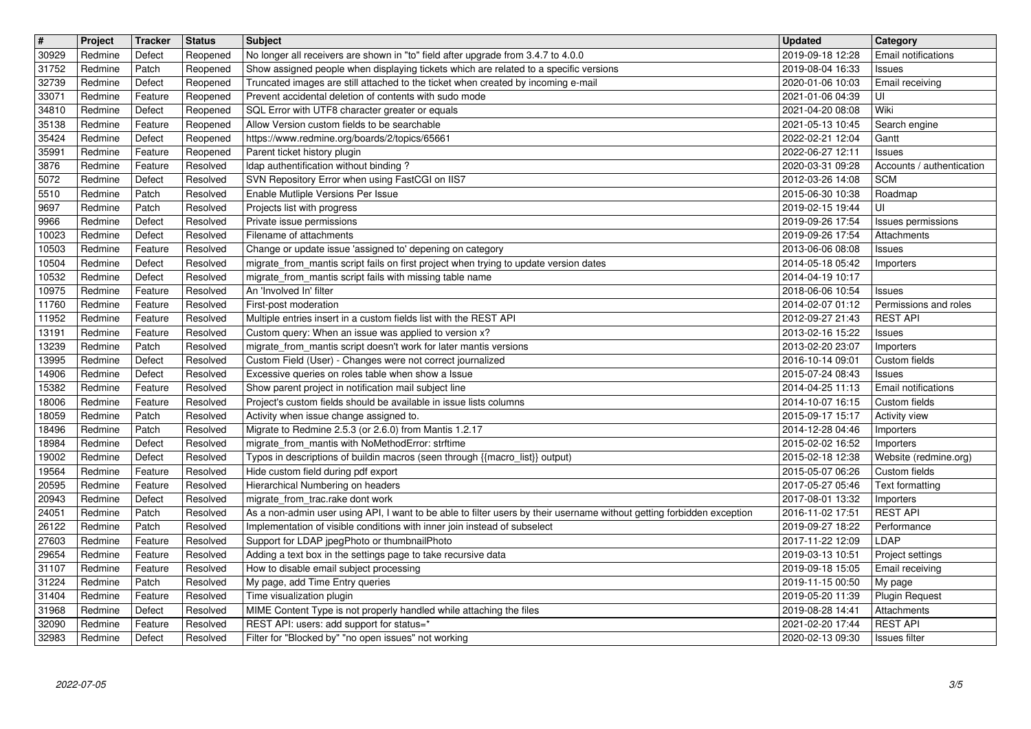| $\boxed{\texttt{#}}$ | Project            | Tracker            | <b>Status</b>        | <b>Subject</b>                                                                                                                                                             | <b>Updated</b>                       | <b>Category</b>                       |
|----------------------|--------------------|--------------------|----------------------|----------------------------------------------------------------------------------------------------------------------------------------------------------------------------|--------------------------------------|---------------------------------------|
| 30929                | Redmine            | Defect             | Reopened             | No longer all receivers are shown in "to" field after upgrade from 3.4.7 to 4.0.0                                                                                          | 2019-09-18 12:28                     | Email notifications                   |
| 31752<br>32739       | Redmine<br>Redmine | Patch<br>Defect    | Reopened<br>Reopened | Show assigned people when displaying tickets which are related to a specific versions<br>Truncated images are still attached to the ticket when created by incoming e-mail | 2019-08-04 16:33<br>2020-01-06 10:03 | Issues<br>Email receiving             |
| 33071                | Redmine            | Feature            | Reopened             | Prevent accidental deletion of contents with sudo mode                                                                                                                     | 2021-01-06 04:39                     | UI                                    |
| 34810                | Redmine            | Defect             | Reopened             | SQL Error with UTF8 character greater or equals                                                                                                                            | 2021-04-20 08:08                     | Wiki                                  |
| 35138                | Redmine            | Feature            | Reopened             | Allow Version custom fields to be searchable                                                                                                                               | 2021-05-13 10:45                     | Search engine                         |
| 35424<br>35991       | Redmine<br>Redmine | Defect<br>Feature  | Reopened<br>Reopened | https://www.redmine.org/boards/2/topics/65661<br>Parent ticket history plugin                                                                                              | 2022-02-21 12:04<br>2022-06-27 12:11 | Gantt<br>Issues                       |
| 3876                 | Redmine            | Feature            | Resolved             | Idap authentification without binding?                                                                                                                                     | 2020-03-31 09:28                     | Accounts / authentication             |
| 5072                 | Redmine            | Defect             | Resolved             | SVN Repository Error when using FastCGI on IIS7                                                                                                                            | 2012-03-26 14:08                     | <b>SCM</b>                            |
| 5510                 | Redmine            | Patch              | Resolved             | Enable Mutliple Versions Per Issue                                                                                                                                         | 2015-06-30 10:38                     | Roadmap                               |
| 9697<br>9966         | Redmine<br>Redmine | Patch<br>Defect    | Resolved<br>Resolved | Projects list with progress<br>Private issue permissions                                                                                                                   | 2019-02-15 19:44<br>2019-09-26 17:54 | UI<br>Issues permissions              |
| 10023                | Redmine            | Defect             | Resolved             | Filename of attachments                                                                                                                                                    | 2019-09-26 17:54                     | Attachments                           |
| 10503                | Redmine            | Feature            | Resolved             | Change or update issue 'assigned to' depening on category                                                                                                                  | 2013-06-06 08:08                     | Issues                                |
| 10504<br>10532       | Redmine<br>Redmine | Defect<br>Defect   | Resolved<br>Resolved | migrate_from_mantis script fails on first project when trying to update version dates<br>migrate_from_mantis script fails with missing table name                          | 2014-05-18 05:42<br>2014-04-19 10:17 | Importers                             |
| 10975                | Redmine            | Feature            | Resolved             | An 'Involved In' filter                                                                                                                                                    | 2018-06-06 10:54                     | Issues                                |
| 11760                | Redmine            | Feature            | Resolved             | First-post moderation                                                                                                                                                      | 2014-02-07 01:12                     | Permissions and roles                 |
| 11952                | Redmine            | Feature            | Resolved             | Multiple entries insert in a custom fields list with the REST API                                                                                                          | 2012-09-27 21:43                     | <b>REST API</b>                       |
| 13191<br>13239       | Redmine<br>Redmine | Feature<br>Patch   | Resolved<br>Resolved | Custom query: When an issue was applied to version x?<br>migrate_from_mantis script doesn't work for later mantis versions                                                 | 2013-02-16 15:22<br>2013-02-20 23:07 | Issues<br>Importers                   |
| 13995                | Redmine            | Defect             | Resolved             | Custom Field (User) - Changes were not correct journalized                                                                                                                 | 2016-10-14 09:01                     | Custom fields                         |
| 14906                | Redmine            | Defect             | Resolved             | Excessive queries on roles table when show a Issue                                                                                                                         | 2015-07-24 08:43                     | Issues                                |
| 15382                | Redmine            | Feature            | Resolved             | Show parent project in notification mail subject line                                                                                                                      | 2014-04-25 11:13                     | Email notifications                   |
| 18006<br>18059       | Redmine<br>Redmine | Feature<br>Patch   | Resolved<br>Resolved | Project's custom fields should be available in issue lists columns<br>Activity when issue change assigned to.                                                              | 2014-10-07 16:15<br>2015-09-17 15:17 | Custom fields<br><b>Activity view</b> |
| 18496                | Redmine            | Patch              | Resolved             | Migrate to Redmine 2.5.3 (or 2.6.0) from Mantis 1.2.17                                                                                                                     | 2014-12-28 04:46                     | Importers                             |
| 18984                | Redmine            | Defect             | Resolved             | migrate_from_mantis with NoMethodError: strftime                                                                                                                           | 2015-02-02 16:52                     | Importers                             |
| 19002                | Redmine            | Defect             | Resolved             | Typos in descriptions of buildin macros (seen through {{macro_list}} output)                                                                                               | 2015-02-18 12:38                     | Website (redmine.org)                 |
| 19564<br>20595       | Redmine<br>Redmine | Feature<br>Feature | Resolved<br>Resolved | Hide custom field during pdf export<br>Hierarchical Numbering on headers                                                                                                   | 2015-05-07 06:26<br>2017-05-27 05:46 | Custom fields<br>Text formatting      |
| 20943                | Redmine            | Defect             | Resolved             | migrate_from_trac.rake dont work                                                                                                                                           | 2017-08-01 13:32                     | Importers                             |
| 24051                | Redmine            | Patch              | Resolved             | As a non-admin user using API, I want to be able to filter users by their username without getting forbidden exception                                                     | 2016-11-02 17:51                     | <b>REST API</b>                       |
| 26122<br>27603       | Redmine<br>Redmine | Patch<br>Feature   | Resolved<br>Resolved | Implementation of visible conditions with inner join instead of subselect<br>Support for LDAP jpegPhoto or thumbnailPhoto                                                  | 2019-09-27 18:22<br>2017-11-22 12:09 | Performance<br>LDAP                   |
| 29654                | Redmine            | Feature            | Resolved             | Adding a text box in the settings page to take recursive data                                                                                                              | 2019-03-13 10:51                     | Project settings                      |
| 31107                | Redmine            | Feature            | Resolved             | How to disable email subject processing                                                                                                                                    | 2019-09-18 15:05                     | Email receiving                       |
| 31224                | Redmine            | Patch              | Resolved             | My page, add Time Entry queries                                                                                                                                            | 2019-11-15 00:50                     | My page                               |
| 31404<br>31968       | Redmine<br>Redmine | Feature<br>Defect  | Resolved<br>Resolved | Time visualization plugin<br>MIME Content Type is not properly handled while attaching the files                                                                           | 2019-05-20 11:39<br>2019-08-28 14:41 | <b>Plugin Request</b><br>Attachments  |
| 32090                | Redmine            | Feature            | Resolved             | REST API: users: add support for status=*                                                                                                                                  | 2021-02-20 17:44                     | <b>REST API</b>                       |
| 32983                | Redmine            | Defect             | Resolved             | Filter for "Blocked by" "no open issues" not working                                                                                                                       | 2020-02-13 09:30                     | Issues filter                         |
| 2022-07-05           |                    |                    |                      |                                                                                                                                                                            |                                      |                                       |
|                      |                    |                    |                      |                                                                                                                                                                            |                                      |                                       |
|                      |                    |                    |                      |                                                                                                                                                                            |                                      |                                       |
|                      |                    |                    |                      |                                                                                                                                                                            |                                      |                                       |
|                      |                    |                    |                      |                                                                                                                                                                            |                                      |                                       |
|                      |                    |                    |                      |                                                                                                                                                                            |                                      |                                       |
|                      |                    |                    |                      |                                                                                                                                                                            |                                      |                                       |
|                      |                    |                    |                      |                                                                                                                                                                            |                                      |                                       |
|                      |                    |                    |                      |                                                                                                                                                                            |                                      |                                       |
|                      |                    |                    |                      |                                                                                                                                                                            |                                      |                                       |
|                      |                    |                    |                      |                                                                                                                                                                            |                                      |                                       |
|                      |                    |                    |                      |                                                                                                                                                                            |                                      |                                       |
|                      |                    |                    |                      |                                                                                                                                                                            |                                      |                                       |
|                      |                    |                    |                      |                                                                                                                                                                            |                                      |                                       |
|                      |                    |                    |                      |                                                                                                                                                                            |                                      |                                       |
|                      |                    |                    |                      |                                                                                                                                                                            |                                      |                                       |
|                      |                    |                    |                      |                                                                                                                                                                            |                                      |                                       |
|                      |                    |                    |                      |                                                                                                                                                                            |                                      |                                       |
|                      |                    |                    |                      |                                                                                                                                                                            |                                      |                                       |
|                      |                    |                    |                      |                                                                                                                                                                            |                                      |                                       |
|                      |                    |                    |                      |                                                                                                                                                                            |                                      |                                       |
|                      |                    |                    |                      |                                                                                                                                                                            |                                      |                                       |
|                      |                    |                    |                      |                                                                                                                                                                            |                                      |                                       |
|                      |                    |                    |                      |                                                                                                                                                                            |                                      |                                       |
|                      |                    |                    |                      |                                                                                                                                                                            |                                      |                                       |
|                      |                    |                    |                      |                                                                                                                                                                            |                                      |                                       |
|                      |                    |                    |                      |                                                                                                                                                                            |                                      |                                       |
|                      |                    |                    |                      |                                                                                                                                                                            |                                      |                                       |
|                      |                    |                    |                      |                                                                                                                                                                            |                                      |                                       |
|                      |                    |                    |                      |                                                                                                                                                                            |                                      |                                       |
|                      |                    |                    |                      |                                                                                                                                                                            |                                      |                                       |
|                      |                    |                    |                      |                                                                                                                                                                            |                                      |                                       |
|                      |                    |                    |                      |                                                                                                                                                                            |                                      |                                       |
|                      |                    |                    |                      |                                                                                                                                                                            |                                      |                                       |
|                      |                    |                    |                      |                                                                                                                                                                            |                                      |                                       |
|                      |                    |                    |                      |                                                                                                                                                                            |                                      |                                       |
|                      |                    |                    |                      |                                                                                                                                                                            |                                      |                                       |
|                      |                    |                    |                      |                                                                                                                                                                            |                                      |                                       |
|                      |                    |                    |                      |                                                                                                                                                                            |                                      |                                       |
|                      |                    |                    |                      |                                                                                                                                                                            |                                      |                                       |
|                      |                    |                    |                      |                                                                                                                                                                            |                                      |                                       |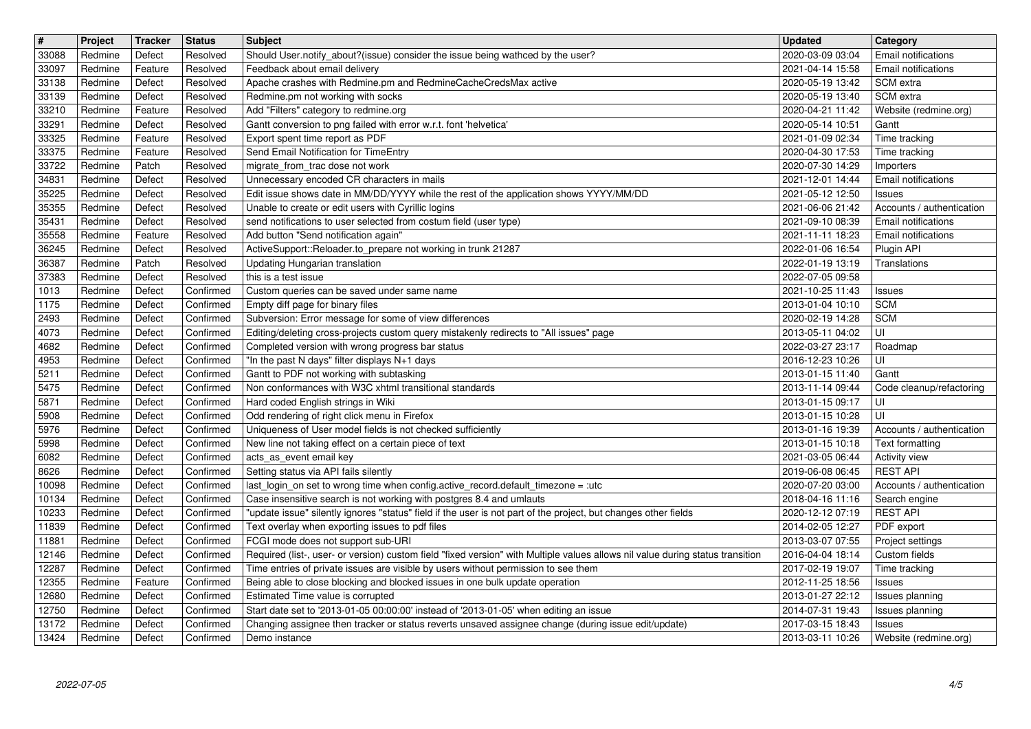| $\boxed{\texttt{#}}$ | Project            | Tracker            | <b>Status</b>          | <b>Subject</b>                                                                                                                             | <b>Updated</b>                       | Category                                                |
|----------------------|--------------------|--------------------|------------------------|--------------------------------------------------------------------------------------------------------------------------------------------|--------------------------------------|---------------------------------------------------------|
| 33088                | Redmine            | Defect             | Resolved               | Should User.notify_about?(issue) consider the issue being wathced by the user?<br>Feedback about email delivery                            | 2020-03-09 03:04<br>2021-04-14 15:58 | <b>Email notifications</b><br>Email notifications       |
| 33097<br>33138       | Redmine<br>Redmine | Feature<br>Defect  | Resolved<br>Resolved   | Apache crashes with Redmine.pm and RedmineCacheCredsMax active                                                                             | 2020-05-19 13:42                     | SCM extra                                               |
| 33139                | Redmine            | Defect             | Resolved               | Redmine.pm not working with socks                                                                                                          | 2020-05-19 13:40                     | SCM extra                                               |
| 33210                | Redmine            | Feature            | Resolved               | Add "Filters" category to redmine.org                                                                                                      | 2020-04-21 11:42                     | Website (redmine.org)                                   |
| 33291                | Redmine            | Defect             | Resolved               | Gantt conversion to png failed with error w.r.t. font 'helvetica'                                                                          | 2020-05-14 10:51                     | Gantt                                                   |
| 33325<br>33375       | Redmine<br>Redmine | Feature<br>Feature | Resolved<br>Resolved   | Export spent time report as PDF<br>Send Email Notification for TimeEntry                                                                   | 2021-01-09 02:34<br>2020-04-30 17:53 | Time tracking<br>Time tracking                          |
| 33722                | Redmine            | Patch              | Resolved               | migrate_from_trac dose not work                                                                                                            | 2020-07-30 14:29                     | Importers                                               |
| 34831                | Redmine            | Defect             | Resolved               | Unnecessary encoded CR characters in mails                                                                                                 | 2021-12-01 14:44                     | Email notifications                                     |
| 35225                | Redmine            | Defect             | Resolved               | Edit issue shows date in MM/DD/YYYY while the rest of the application shows YYYY/MM/DD                                                     | 2021-05-12 12:50                     | <b>Issues</b>                                           |
| 35355<br>35431       | Redmine<br>Redmine | Defect<br>Defect   | Resolved<br>Resolved   | Unable to create or edit users with Cyrillic logins<br>send notifications to user selected from costum field (user type)                   | 2021-06-06 21:42<br>2021-09-10 08:39 | Accounts / authentication<br><b>Email notifications</b> |
| 35558                | Redmine            | Feature            | Resolved               | Add button "Send notification again"                                                                                                       | 2021-11-11 18:23                     | Email notifications                                     |
| 36245                | Redmine            | Defect             | Resolved               | ActiveSupport::Reloader.to_prepare not working in trunk 21287                                                                              | 2022-01-06 16:54                     | Plugin API                                              |
| 36387<br>37383       | Redmine<br>Redmine | Patch<br>Defect    | Resolved<br>Resolved   | <b>Updating Hungarian translation</b><br>this is a test issue                                                                              | 2022-01-19 13:19<br>2022-07-05 09:58 | Translations                                            |
| 1013                 | Redmine            | Defect             | Confirmed              | Custom queries can be saved under same name                                                                                                | 2021-10-25 11:43                     | <b>Issues</b>                                           |
| 1175                 | Redmine            | Defect             | Confirmed              | Empty diff page for binary files                                                                                                           | 2013-01-04 10:10                     | <b>SCM</b>                                              |
| 2493                 | Redmine            | Defect             | Confirmed              | Subversion: Error message for some of view differences                                                                                     | 2020-02-19 14:28                     | SCM                                                     |
| 4073<br>4682         | Redmine<br>Redmine | Defect<br>Defect   | Confirmed<br>Confirmed | Editing/deleting cross-projects custom query mistakenly redirects to "All issues" page<br>Completed version with wrong progress bar status | 2013-05-11 04:02<br>2022-03-27 23:17 | UI<br>Roadmap                                           |
| 4953                 | Redmine            | Defect             | Confirmed              | "In the past N days" filter displays N+1 days                                                                                              | 2016-12-23 10:26                     | UI                                                      |
| 5211                 | Redmine            | Defect             | Confirmed              | Gantt to PDF not working with subtasking                                                                                                   | 2013-01-15 11:40                     | Gantt                                                   |
| 5475                 | Redmine            | Defect             | Confirmed<br>Confirmed | Non conformances with W3C xhtml transitional standards                                                                                     | 2013-11-14 09:44                     | Code cleanup/refactoring                                |
| 5871<br>5908         | Redmine<br>Redmine | Defect<br>Defect   | Confirmed              | Hard coded English strings in Wiki<br>Odd rendering of right click menu in Firefox                                                         | 2013-01-15 09:17<br>2013-01-15 10:28 | UI<br>UI                                                |
| 5976                 | Redmine            | Defect             | Confirmed              | Uniqueness of User model fields is not checked sufficiently                                                                                | 2013-01-16 19:39                     | Accounts / authentication                               |
| 5998                 | Redmine            | Defect             | Confirmed              | New line not taking effect on a certain piece of text                                                                                      | 2013-01-15 10:18                     | Text formatting                                         |
| 6082<br>8626         | Redmine<br>Redmine | Defect<br>Defect   | Confirmed<br>Confirmed | acts_as_event email key<br>Setting status via API fails silently                                                                           | 2021-03-05 06:44                     | <b>Activity view</b><br><b>REST API</b>                 |
| 10098                | Redmine            | Defect             | Confirmed              | last_login_on set to wrong time when config.active_record.default_timezone = :utc                                                          | 2019-06-08 06:45<br>2020-07-20 03:00 | Accounts / authentication                               |
| 10134                | Redmine            | Defect             | Confirmed              | Case insensitive search is not working with postgres 8.4 and umlauts                                                                       | 2018-04-16 11:16                     | Search engine                                           |
| 10233                | Redmine            | Defect             | Confirmed              | "update issue" silently ignores "status" field if the user is not part of the project, but changes other fields                            | 2020-12-12 07:19                     | <b>REST API</b>                                         |
| 11839<br>11881       | Redmine<br>Redmine | Defect<br>Defect   | Confirmed<br>Confirmed | Text overlay when exporting issues to pdf files<br>FCGI mode does not support sub-URI                                                      | 2014-02-05 12:27<br>2013-03-07 07:55 | PDF export<br>Project settings                          |
| 12146                | Redmine            | Defect             | Confirmed              | Required (list-, user- or version) custom field "fixed version" with Multiple values allows nil value during status transition             | 2016-04-04 18:14                     | Custom fields                                           |
| 12287                | Redmine            | Defect             | Confirmed              | Time entries of private issues are visible by users without permission to see them                                                         | 2017-02-19 19:07                     | Time tracking                                           |
| 12355                | Redmine            | Feature            | Confirmed              | Being able to close blocking and blocked issues in one bulk update operation                                                               | 2012-11-25 18:56   Issues            |                                                         |
| 12680<br>12750       | Redmine<br>Redmine | Defect<br>Defect   | Confirmed<br>Confirmed | Estimated Time value is corrupted<br>Start date set to '2013-01-05 00:00:00' instead of '2013-01-05' when editing an issue                 | 2013-01-27 22:12<br>2014-07-31 19:43 | Issues planning<br>Issues planning                      |
| 13172                | Redmine            | Defect             | Confirmed              | Changing assignee then tracker or status reverts unsaved assignee change (during issue edit/update)                                        | 2017-03-15 18:43                     | <b>Issues</b>                                           |
| 13424                | Redmine            | Defect             | Confirmed              | Demo instance                                                                                                                              | 2013-03-11 10:26                     | Website (redmine.org)                                   |
|                      |                    |                    |                        |                                                                                                                                            |                                      |                                                         |
|                      |                    |                    |                        |                                                                                                                                            |                                      |                                                         |
|                      |                    |                    |                        |                                                                                                                                            |                                      |                                                         |
|                      |                    |                    |                        |                                                                                                                                            |                                      |                                                         |
|                      |                    |                    |                        |                                                                                                                                            |                                      |                                                         |
|                      |                    |                    |                        |                                                                                                                                            |                                      |                                                         |
|                      |                    |                    |                        |                                                                                                                                            |                                      |                                                         |
|                      |                    |                    |                        |                                                                                                                                            |                                      |                                                         |
|                      |                    |                    |                        |                                                                                                                                            |                                      |                                                         |
|                      |                    |                    |                        |                                                                                                                                            |                                      |                                                         |
|                      |                    |                    |                        |                                                                                                                                            |                                      |                                                         |
|                      |                    |                    |                        |                                                                                                                                            |                                      |                                                         |
|                      |                    |                    |                        |                                                                                                                                            |                                      |                                                         |
|                      |                    |                    |                        |                                                                                                                                            |                                      |                                                         |
|                      |                    |                    |                        |                                                                                                                                            |                                      |                                                         |
|                      |                    |                    |                        |                                                                                                                                            |                                      |                                                         |
|                      |                    |                    |                        |                                                                                                                                            |                                      |                                                         |
|                      |                    |                    |                        |                                                                                                                                            |                                      |                                                         |
|                      |                    |                    |                        |                                                                                                                                            |                                      |                                                         |
|                      |                    |                    |                        |                                                                                                                                            |                                      |                                                         |
|                      |                    |                    |                        |                                                                                                                                            |                                      |                                                         |
|                      |                    |                    |                        |                                                                                                                                            |                                      |                                                         |
|                      |                    |                    |                        |                                                                                                                                            |                                      |                                                         |
|                      |                    |                    |                        |                                                                                                                                            |                                      |                                                         |
|                      |                    |                    |                        |                                                                                                                                            |                                      |                                                         |
|                      |                    |                    |                        |                                                                                                                                            |                                      |                                                         |
|                      |                    |                    |                        |                                                                                                                                            |                                      |                                                         |
|                      |                    |                    |                        |                                                                                                                                            |                                      |                                                         |
|                      |                    |                    |                        |                                                                                                                                            |                                      |                                                         |
|                      |                    |                    |                        |                                                                                                                                            |                                      |                                                         |
|                      |                    |                    |                        |                                                                                                                                            |                                      |                                                         |
|                      |                    |                    |                        |                                                                                                                                            |                                      |                                                         |
|                      |                    |                    |                        |                                                                                                                                            |                                      |                                                         |